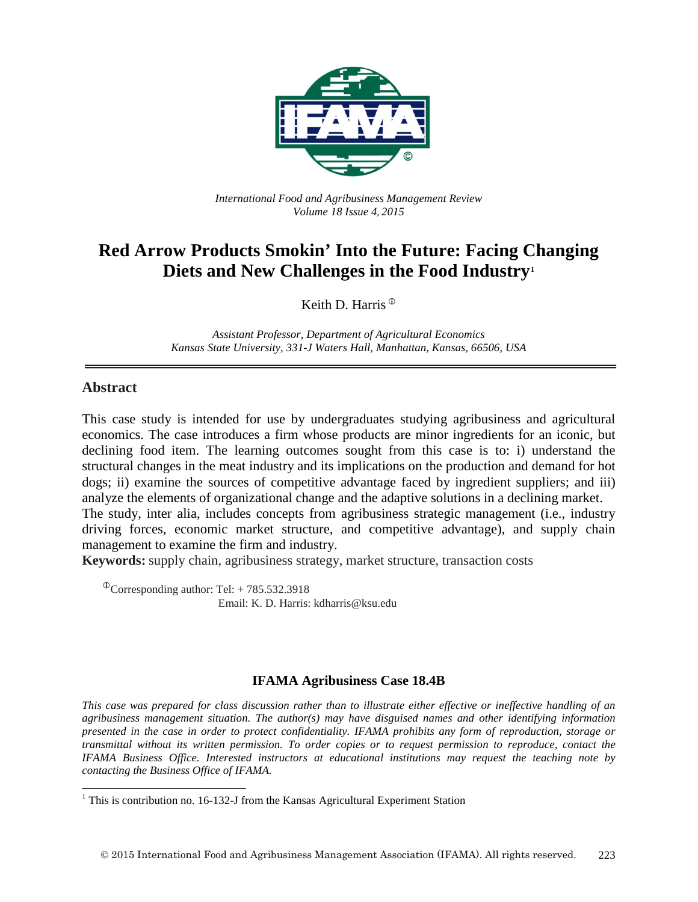

*International Food and Agribusiness Management Review Volume 18 Issue 4*, *2015*

## **Red Arrow Products Smokin' Into the Future: Facing Changing Diets and New Challenges in the Food Industry[1](#page-0-0)**

Keith D. Harris

*Assistant Professor, Department of Agricultural Economics Kansas State University, 331-J Waters Hall, Manhattan, Kansas, 66506, USA*

#### **Abstract**

This case study is intended for use by undergraduates studying agribusiness and agricultural economics. The case introduces a firm whose products are minor ingredients for an iconic, but declining food item. The learning outcomes sought from this case is to: i) understand the structural changes in the meat industry and its implications on the production and demand for hot dogs; ii) examine the sources of competitive advantage faced by ingredient suppliers; and iii) analyze the elements of organizational change and the adaptive solutions in a declining market. The study, inter alia, includes concepts from agribusiness strategic management (i.e., industry

driving forces, economic market structure, and competitive advantage), and supply chain management to examine the firm and industry.

**Keywords:** supply chain, agribusiness strategy, market structure, transaction costs

 $^{\circ}$ Corresponding author: Tel: + 785.532.3918 Email: K. D. Harris: kdharris@ksu.edu

#### **IFAMA Agribusiness Case 18.4B**

*This case was prepared for class discussion rather than to illustrate either effective or ineffective handling of an agribusiness management situation. The author(s) may have disguised names and other identifying information presented in the case in order to protect confidentiality. IFAMA prohibits any form of reproduction, storage or transmittal without its written permission. To order copies or to request permission to reproduce, contact the IFAMA Business Office. Interested instructors at educational institutions may request the teaching note by contacting the Business Office of IFAMA.*

<span id="page-0-0"></span> $1$  This is contribution no. 16-132-J from the Kansas Agricultural Experiment Station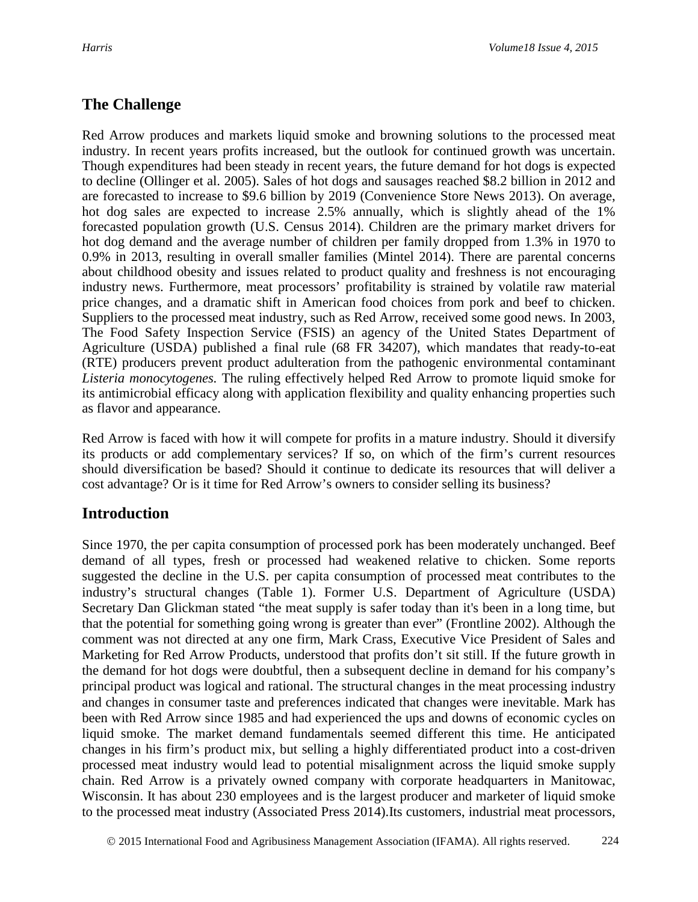## **The Challenge**

Red Arrow produces and markets liquid smoke and browning solutions to the processed meat industry. In recent years profits increased, but the outlook for continued growth was uncertain. Though expenditures had been steady in recent years, the future demand for hot dogs is expected to decline (Ollinger et al. 2005). Sales of hot dogs and sausages reached \$8.2 billion in 2012 and are forecasted to increase to \$9.6 billion by 2019 (Convenience Store News 2013). On average, hot dog sales are expected to increase 2.5% annually, which is slightly ahead of the 1% forecasted population growth (U.S. Census 2014). Children are the primary market drivers for hot dog demand and the average number of children per family dropped from 1.3% in 1970 to 0.9% in 2013, resulting in overall smaller families (Mintel 2014). There are parental concerns about childhood obesity and issues related to product quality and freshness is not encouraging industry news. Furthermore, meat processors' profitability is strained by volatile raw material price changes, and a dramatic shift in American food choices from pork and beef to chicken. Suppliers to the processed meat industry, such as Red Arrow, received some good news. In 2003, The Food Safety Inspection Service (FSIS) an agency of the United States Department of Agriculture (USDA) published a final rule (68 FR 34207), which mandates that ready-to-eat (RTE) producers prevent product adulteration from the pathogenic environmental contaminant *Listeria monocytogenes.* The ruling effectively helped Red Arrow to promote liquid smoke for its antimicrobial efficacy along with application flexibility and quality enhancing properties such as flavor and appearance.

Red Arrow is faced with how it will compete for profits in a mature industry. Should it diversify its products or add complementary services? If so, on which of the firm's current resources should diversification be based? Should it continue to dedicate its resources that will deliver a cost advantage? Or is it time for Red Arrow's owners to consider selling its business?

## **Introduction**

Since 1970, the per capita consumption of processed pork has been moderately unchanged. Beef demand of all types, fresh or processed had weakened relative to chicken. Some reports suggested the decline in the U.S. per capita consumption of processed meat contributes to the industry's structural changes (Table 1). Former U.S. Department of Agriculture (USDA) Secretary Dan Glickman stated "the meat supply is safer today than it's been in a long time, but that the potential for something going wrong is greater than ever" (Frontline 2002). Although the comment was not directed at any one firm, Mark Crass, Executive Vice President of Sales and Marketing for Red Arrow Products, understood that profits don't sit still. If the future growth in the demand for hot dogs were doubtful, then a subsequent decline in demand for his company's principal product was logical and rational. The structural changes in the meat processing industry and changes in consumer taste and preferences indicated that changes were inevitable. Mark has been with Red Arrow since 1985 and had experienced the ups and downs of economic cycles on liquid smoke. The market demand fundamentals seemed different this time. He anticipated changes in his firm's product mix, but selling a highly differentiated product into a cost-driven processed meat industry would lead to potential misalignment across the liquid smoke supply chain. Red Arrow is a privately owned company with corporate headquarters in Manitowac, Wisconsin. It has about 230 employees and is the largest producer and marketer of liquid smoke to the processed meat industry (Associated Press 2014).Its customers, industrial meat processors,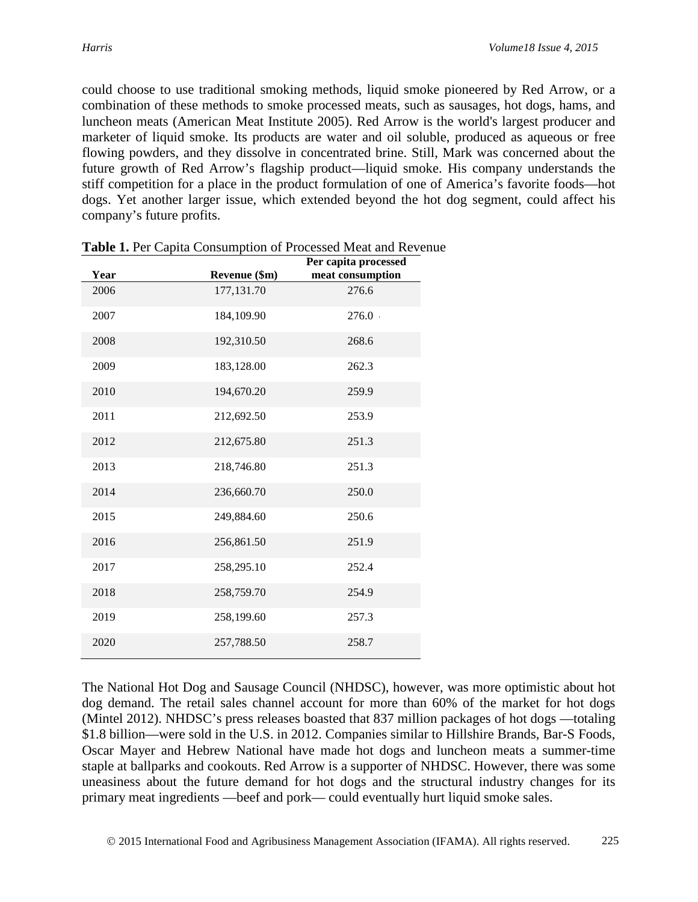could choose to use traditional smoking methods, liquid smoke pioneered by Red Arrow, or a combination of these methods to smoke processed meats, such as sausages, hot dogs, hams, and luncheon meats (American Meat Institute 2005). Red Arrow is the world's largest producer and marketer of liquid smoke. Its products are water and oil soluble, produced as aqueous or free flowing powders, and they dissolve in concentrated brine. Still, Mark was concerned about the future growth of Red Arrow's flagship product—liquid smoke. His company understands the stiff competition for a place in the product formulation of one of America's favorite foods—hot dogs. Yet another larger issue, which extended beyond the hot dog segment, could affect his company's future profits.

| Year | Revenue (\$m) | Per capita processed<br>meat consumption |
|------|---------------|------------------------------------------|
| 2006 | 177,131.70    | 276.6                                    |
| 2007 | 184,109.90    | 276.0                                    |
| 2008 | 192,310.50    | 268.6                                    |
| 2009 | 183,128.00    | 262.3                                    |
| 2010 | 194,670.20    | 259.9                                    |
| 2011 | 212,692.50    | 253.9                                    |
| 2012 | 212,675.80    | 251.3                                    |
| 2013 | 218,746.80    | 251.3                                    |
| 2014 | 236,660.70    | 250.0                                    |
| 2015 | 249,884.60    | 250.6                                    |
| 2016 | 256,861.50    | 251.9                                    |
| 2017 | 258,295.10    | 252.4                                    |
| 2018 | 258,759.70    | 254.9                                    |
| 2019 | 258,199.60    | 257.3                                    |
| 2020 | 257,788.50    | 258.7                                    |

|  | Table 1. Per Capita Consumption of Processed Meat and Revenue |  |  |  |  |  |
|--|---------------------------------------------------------------|--|--|--|--|--|
|--|---------------------------------------------------------------|--|--|--|--|--|

The National Hot Dog and Sausage Council (NHDSC), however, was more optimistic about hot dog demand. The retail sales channel account for more than 60% of the market for hot dogs (Mintel 2012). NHDSC's press releases boasted that 837 million packages of hot dogs —totaling \$1.8 billion—were sold in the U.S. in 2012. Companies similar to Hillshire Brands, Bar-S Foods, Oscar Mayer and Hebrew National have made hot dogs and luncheon meats a summer-time staple at ballparks and cookouts. Red Arrow is a supporter of NHDSC. However, there was some uneasiness about the future demand for hot dogs and the structural industry changes for its primary meat ingredients —beef and pork— could eventually hurt liquid smoke sales.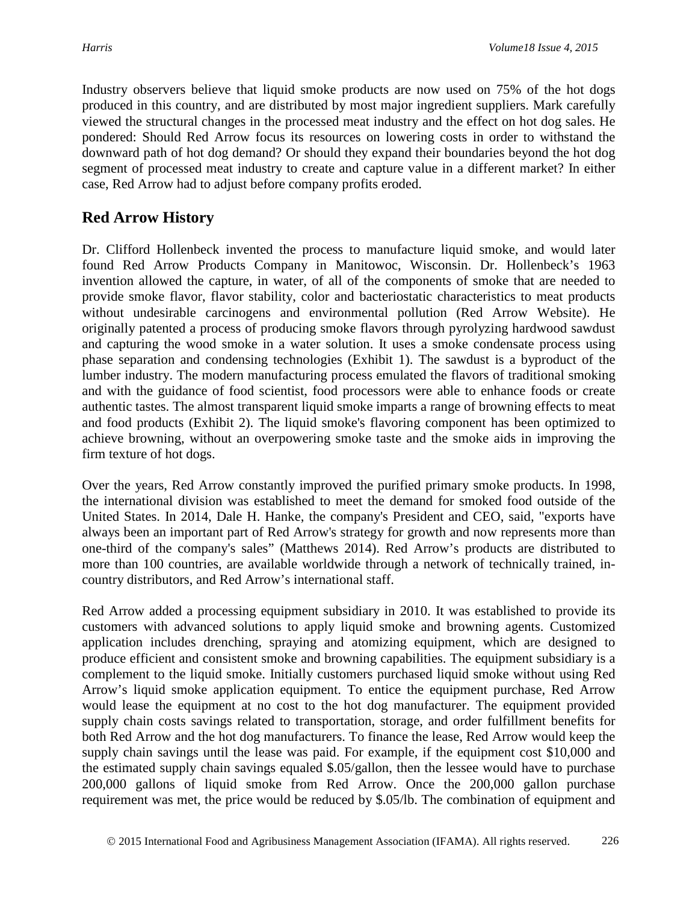Industry observers believe that liquid smoke products are now used on 75% of the hot dogs produced in this country, and are distributed by most major ingredient suppliers. Mark carefully viewed the structural changes in the processed meat industry and the effect on hot dog sales. He pondered: Should Red Arrow focus its resources on lowering costs in order to withstand the downward path of hot dog demand? Or should they expand their boundaries beyond the hot dog segment of processed meat industry to create and capture value in a different market? In either case, Red Arrow had to adjust before company profits eroded.

## **Red Arrow History**

Dr. Clifford Hollenbeck invented the process to manufacture liquid smoke, and would later found Red Arrow Products Company in Manitowoc, Wisconsin. Dr. Hollenbeck's 1963 invention allowed the capture, in water, of all of the components of smoke that are needed to provide smoke flavor, flavor stability, color and bacteriostatic characteristics to meat products without undesirable carcinogens and environmental pollution (Red Arrow Website). He originally patented a process of producing smoke flavors through pyrolyzing hardwood sawdust and capturing the wood smoke in a water solution. It uses a smoke condensate process using phase separation and condensing technologies (Exhibit 1). The sawdust is a byproduct of the lumber industry. The modern manufacturing process emulated the flavors of traditional smoking and with the guidance of food scientist, food processors were able to enhance foods or create authentic tastes. The almost transparent liquid smoke imparts a range of browning effects to meat and food products (Exhibit 2). The liquid smoke's flavoring component has been optimized to achieve browning, without an overpowering smoke taste and the smoke aids in improving the firm texture of hot dogs.

Over the years, Red Arrow constantly improved the purified primary smoke products. In 1998, the international division was established to meet the demand for smoked food outside of the United States. In 2014, Dale H. Hanke, the company's President and CEO, said, "exports have always been an important part of Red Arrow's strategy for growth and now represents more than one-third of the company's sales" (Matthews 2014). Red Arrow's products are distributed to more than 100 countries, are available worldwide through a network of technically trained, incountry distributors, and Red Arrow's international staff.

Red Arrow added a processing equipment subsidiary in 2010. It was established to provide its customers with advanced solutions to apply liquid smoke and browning agents. Customized application includes drenching, spraying and atomizing equipment, which are designed to produce efficient and consistent smoke and browning capabilities. The equipment subsidiary is a complement to the liquid smoke. Initially customers purchased liquid smoke without using Red Arrow's liquid smoke application equipment. To entice the equipment purchase, Red Arrow would lease the equipment at no cost to the hot dog manufacturer. The equipment provided supply chain costs savings related to transportation, storage, and order fulfillment benefits for both Red Arrow and the hot dog manufacturers. To finance the lease, Red Arrow would keep the supply chain savings until the lease was paid. For example, if the equipment cost \$10,000 and the estimated supply chain savings equaled \$.05/gallon, then the lessee would have to purchase 200,000 gallons of liquid smoke from Red Arrow. Once the 200,000 gallon purchase requirement was met, the price would be reduced by \$.05/lb. The combination of equipment and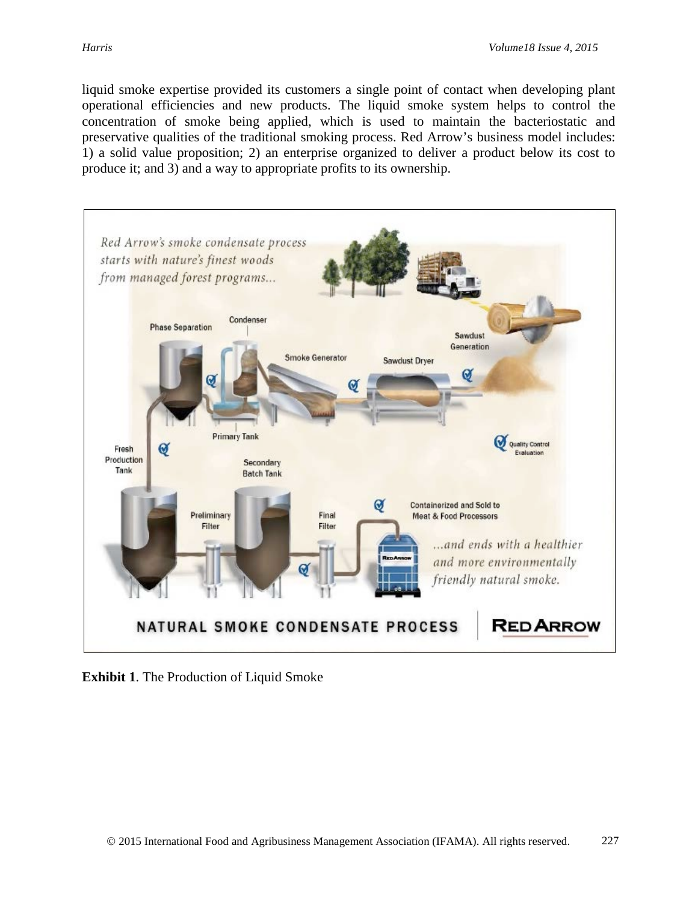liquid smoke expertise provided its customers a single point of contact when developing plant operational efficiencies and new products. The liquid smoke system helps to control the concentration of smoke being applied, which is used to maintain the bacteriostatic and preservative qualities of the traditional smoking process. Red Arrow's business model includes: 1) a solid value proposition; 2) an enterprise organized to deliver a product below its cost to produce it; and 3) and a way to appropriate profits to its ownership.



**Exhibit 1**. The Production of Liquid Smoke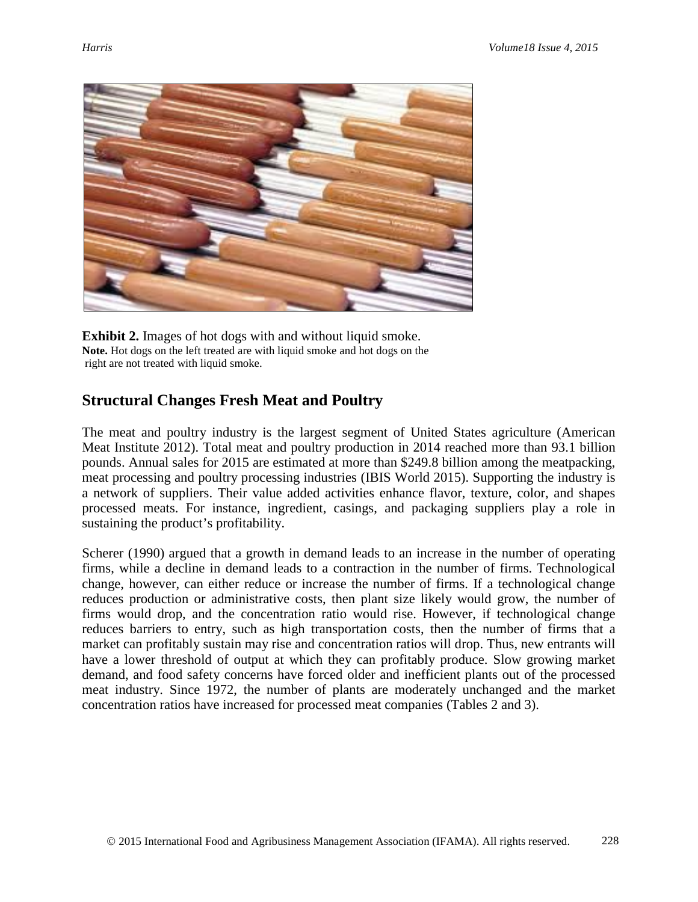

**Exhibit 2.** Images of hot dogs with and without liquid smoke. **Note.** Hot dogs on the left treated are with liquid smoke and hot dogs on the right are not treated with liquid smoke.

## **Structural Changes Fresh Meat and Poultry**

The meat and poultry industry is the largest segment of United States agriculture (American Meat Institute 2012). Total meat and poultry production in 2014 reached more than 93.1 billion pounds. Annual sales for 2015 are estimated at more than \$249.8 billion among the meatpacking, meat processing and poultry processing industries (IBIS World 2015). Supporting the industry is a network of suppliers. Their value added activities enhance flavor, texture, color, and shapes processed meats. For instance, ingredient, casings, and packaging suppliers play a role in sustaining the product's profitability.

Scherer (1990) argued that a growth in demand leads to an increase in the number of operating firms, while a decline in demand leads to a contraction in the number of firms. Technological change, however, can either reduce or increase the number of firms. If a technological change reduces production or administrative costs, then plant size likely would grow, the number of firms would drop, and the concentration ratio would rise. However, if technological change reduces barriers to entry, such as high transportation costs, then the number of firms that a market can profitably sustain may rise and concentration ratios will drop. Thus, new entrants will have a lower threshold of output at which they can profitably produce. Slow growing market demand, and food safety concerns have forced older and inefficient plants out of the processed meat industry. Since 1972, the number of plants are moderately unchanged and the market concentration ratios have increased for processed meat companies (Tables 2 and 3).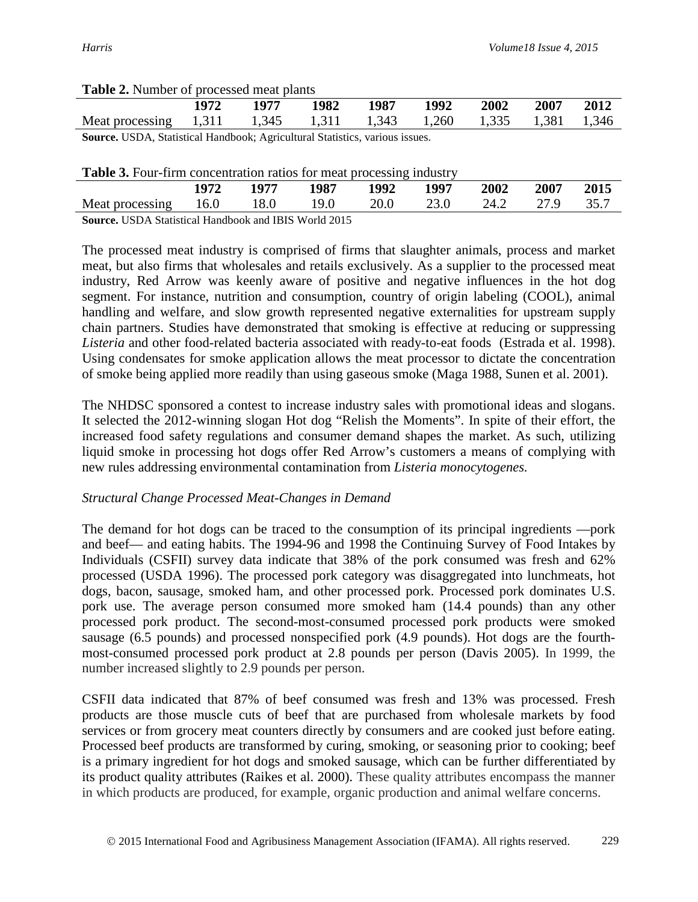#### **Table 2.** Number of processed meat plants

|                                                                                                                                                                                                                                                                                                                                              | 1972  |       | 1982  | 1987  | 1992  | 2002  | 2007  | 2012  |
|----------------------------------------------------------------------------------------------------------------------------------------------------------------------------------------------------------------------------------------------------------------------------------------------------------------------------------------------|-------|-------|-------|-------|-------|-------|-------|-------|
| Meat processing                                                                                                                                                                                                                                                                                                                              | 1,311 | 1,345 | 1,311 | 1,343 | 1,260 | 1,335 | 1,381 | 1,346 |
| $\sim$<br>$\mathbf{r}$ $\mathbf{r}$ $\mathbf{r}$ $\mathbf{r}$ $\mathbf{r}$ $\mathbf{r}$ $\mathbf{r}$ $\mathbf{r}$ $\mathbf{r}$ $\mathbf{r}$ $\mathbf{r}$ $\mathbf{r}$ $\mathbf{r}$ $\mathbf{r}$ $\mathbf{r}$ $\mathbf{r}$ $\mathbf{r}$ $\mathbf{r}$ $\mathbf{r}$ $\mathbf{r}$ $\mathbf{r}$ $\mathbf{r}$ $\mathbf{r}$ $\mathbf{r}$ $\mathbf{$ |       |       |       |       |       |       |       |       |

**Source.** USDA, Statistical Handbook; Agricultural Statistics, various issues.

#### **Table 3.** Four-firm concentration ratios for meat processing industry

|                                                             | 1972 |      | 1987 | 1992 | 1997 | 2002 | 2007 | 2015 |
|-------------------------------------------------------------|------|------|------|------|------|------|------|------|
| Meat processing                                             | 16.0 | 18.0 | '9.U | 20.0 |      |      |      |      |
| <b>Source HCDA</b> Storistical Handbook and IBIS World 2015 |      |      |      |      |      |      |      |      |

**Source.** USDA Statistical Handbook and IBIS World 2015

The processed meat industry is comprised of firms that slaughter animals, process and market meat, but also firms that wholesales and retails exclusively. As a supplier to the processed meat industry, Red Arrow was keenly aware of positive and negative influences in the hot dog segment. For instance, nutrition and consumption, country of origin labeling (COOL), animal handling and welfare, and slow growth represented negative externalities for upstream supply chain partners. Studies have demonstrated that smoking is effective at reducing or suppressing *Listeria* and other food-related bacteria associated with ready-to-eat foods (Estrada et al. 1998). Using condensates for smoke application allows the meat processor to dictate the concentration of smoke being applied more readily than using gaseous smoke (Maga 1988, Sunen et al. 2001).

The NHDSC sponsored a contest to increase industry sales with promotional ideas and slogans. It selected the 2012-winning slogan Hot dog "Relish the Moments". In spite of their effort, the increased food safety regulations and consumer demand shapes the market. As such, utilizing liquid smoke in processing hot dogs offer Red Arrow's customers a means of complying with new rules addressing environmental contamination from *Listeria monocytogenes.* 

#### *Structural Change Processed Meat-Changes in Demand*

The demand for hot dogs can be traced to the consumption of its principal ingredients —pork and beef— and eating habits. The 1994-96 and 1998 the Continuing Survey of Food Intakes by Individuals (CSFII) survey data indicate that 38% of the pork consumed was fresh and 62% processed (USDA 1996). The processed pork category was disaggregated into lunchmeats, hot dogs, bacon, sausage, smoked ham, and other processed pork. Processed pork dominates U.S. pork use. The average person consumed more smoked ham (14.4 pounds) than any other processed pork product. The second-most-consumed processed pork products were smoked sausage (6.5 pounds) and processed nonspecified pork (4.9 pounds). Hot dogs are the fourthmost-consumed processed pork product at 2.8 pounds per person (Davis 2005). In 1999, the number increased slightly to 2.9 pounds per person.

CSFII data indicated that 87% of beef consumed was fresh and 13% was processed. Fresh products are those muscle cuts of beef that are purchased from wholesale markets by food services or from grocery meat counters directly by consumers and are cooked just before eating. Processed beef products are transformed by curing, smoking, or seasoning prior to cooking; beef is a primary ingredient for hot dogs and smoked sausage, which can be further differentiated by its product quality attributes [\(Raikes](http://www.sciencedirect.com/science/article/pii/S0306919205000266#bib23) et al. 2000). These quality attributes encompass the manner in which products are produced, for example, organic production and animal welfare concerns.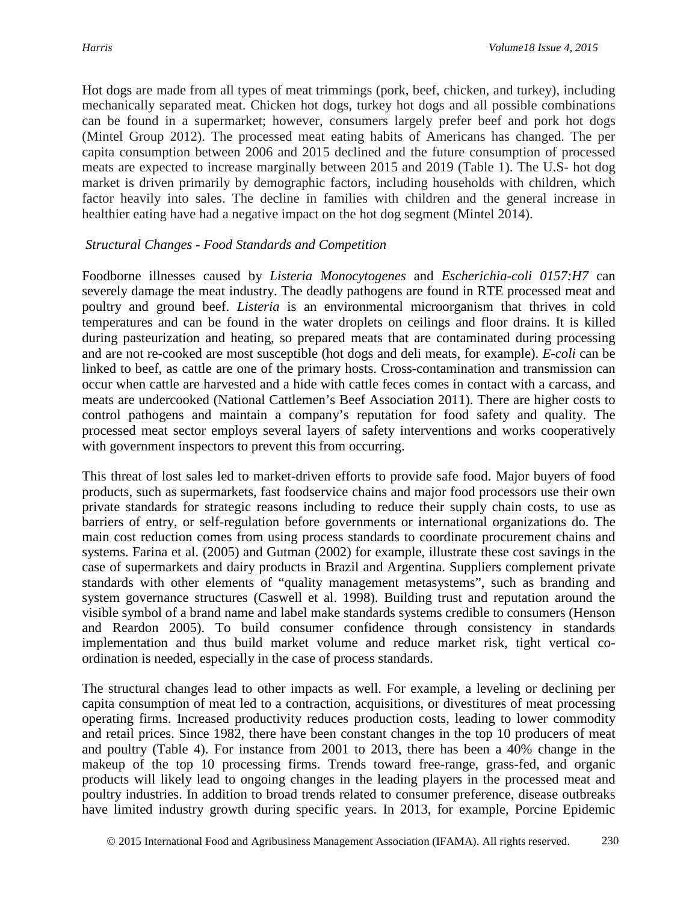Hot dogs are made from all types of meat trimmings (pork, beef, chicken, and turkey), including mechanically separated meat. Chicken hot dogs, turkey hot dogs and all possible combinations can be found in a supermarket; however, consumers largely prefer beef and pork hot dogs (Mintel Group 2012). The processed meat eating habits of Americans has changed. The per capita consumption between 2006 and 2015 declined and the future consumption of processed meats are expected to increase marginally between 2015 and 2019 (Table 1). The U.S- hot dog market is driven primarily by demographic factors, including households with children, which factor heavily into sales. The decline in families with children and the general increase in healthier eating have had a negative impact on the hot dog segment (Mintel 2014).

#### *Structural Changes - Food Standards and Competition*

Foodborne illnesses caused by *Listeria Monocytogenes* and *Escherichia-coli 0157:H7* can severely damage the meat industry. The deadly pathogens are found in RTE processed meat and poultry and ground beef. *Listeria* is an environmental microorganism that thrives in cold temperatures and can be found in the water droplets on ceilings and floor drains. It is killed during pasteurization and heating, so prepared meats that are contaminated during processing and are not re-cooked are most susceptible (hot dogs and deli meats, for example). *E-coli* can be linked to beef, as cattle are one of the primary hosts. Cross-contamination and transmission can occur when cattle are harvested and a hide with cattle feces comes in contact with a carcass, and meats are undercooked (National Cattlemen's Beef Association 2011). There are higher costs to control pathogens and maintain a company's reputation for food safety and quality. The processed meat sector employs several layers of safety interventions and works cooperatively with government inspectors to prevent this from occurring.

This threat of lost sales led to market-driven efforts to provide safe food. Major buyers of food products, such as supermarkets, fast foodservice chains and major food processors use their own private standards for strategic reasons including to reduce their supply chain costs, to use as barriers of entry, or self-regulation before governments or international organizations do. The main cost reduction comes from using process standards to coordinate procurement chains and systems. Farina et al. (2005) and Gutman (2002) for example, illustrate these cost savings in the case of supermarkets and dairy products in Brazil and Argentina. Suppliers complement private standards with other elements of "quality management metasystems", such as branding and system governance structures (Caswell et al. 1998). Building trust and reputation around the visible symbol of a brand name and label make standards systems credible to consumers (Henson and Reardon 2005). To build consumer confidence through consistency in standards implementation and thus build market volume and reduce market risk, tight vertical coordination is needed, especially in the case of process standards.

The structural changes lead to other impacts as well. For example, a leveling or declining per capita consumption of meat led to a contraction, acquisitions, or divestitures of meat processing operating firms. Increased productivity reduces production costs, leading to lower commodity and retail prices. Since 1982, there have been constant changes in the top 10 producers of meat and poultry (Table 4). For instance from 2001 to 2013, there has been a 40% change in the makeup of the top 10 processing firms. Trends toward free-range, grass-fed, and organic products will likely lead to ongoing changes in the leading players in the processed meat and poultry industries. In addition to broad trends related to consumer preference, disease outbreaks have limited industry growth during specific years. In 2013, for example, Porcine Epidemic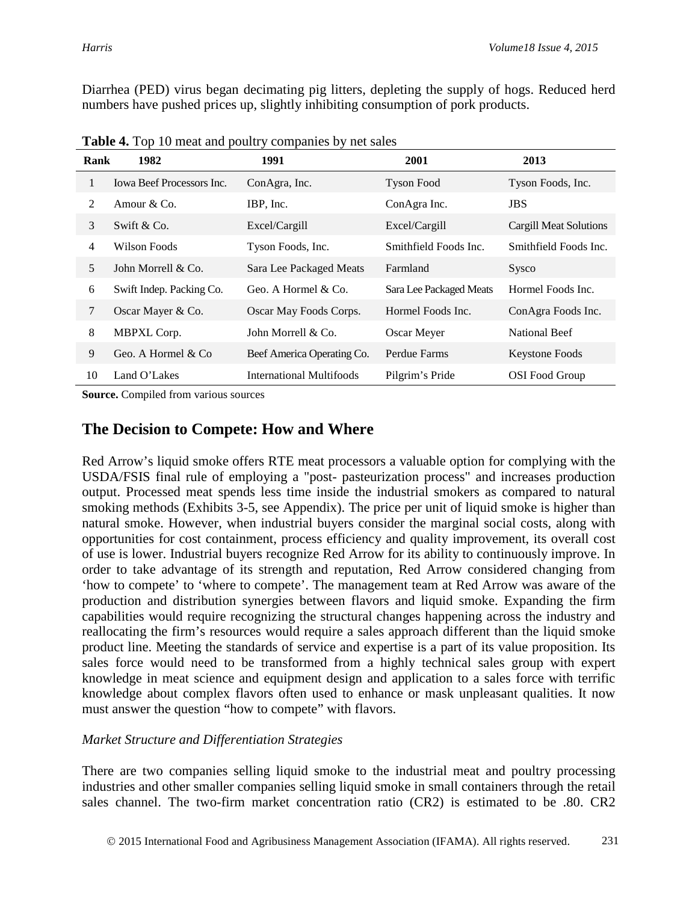Diarrhea (PED) virus began decimating pig litters, depleting the supply of hogs. Reduced herd numbers have pushed prices up, slightly inhibiting consumption of pork products.

| Rank | 1982                             | 1991                       | 2001                    | 2013                   |
|------|----------------------------------|----------------------------|-------------------------|------------------------|
| 1    | <b>Iowa Beef Processors Inc.</b> | ConAgra, Inc.              | <b>Tyson Food</b>       | Tyson Foods, Inc.      |
| 2    | Amour $& Co.$                    | IBP, Inc.                  | ConAgra Inc.            | <b>JBS</b>             |
| 3    | Swift $& Co.$                    | Excel/Cargill              | Excel/Cargill           | Cargill Meat Solutions |
| 4    | Wilson Foods                     | Tyson Foods, Inc.          | Smithfield Foods Inc.   | Smithfield Foods Inc.  |
| 5    | John Morrell & Co.               | Sara Lee Packaged Meats    | Farmland                | Sysco                  |
| 6    | Swift Indep. Packing Co.         | Geo. A Hormel & Co.        | Sara Lee Packaged Meats | Hormel Foods Inc.      |
| 7    | Oscar Mayer & Co.                | Oscar May Foods Corps.     | Hormel Foods Inc.       | ConAgra Foods Inc.     |
| 8    | MBPXL Corp.                      | John Morrell & Co.         | Oscar Meyer             | National Beef          |
| 9    | Geo. A Hormel & Co.              | Beef America Operating Co. | Perdue Farms            | Keystone Foods         |
| 10   | Land O'Lakes                     | International Multifoods   | Pilgrim's Pride         | <b>OSI</b> Food Group  |

**Table 4.** Top 10 meat and poultry companies by net sales

**Source.** Compiled from various sources

## **The Decision to Compete: How and Where**

Red Arrow's liquid smoke offers RTE meat processors a valuable option for complying with the USDA/FSIS final rule of employing a "post- pasteurization process" and increases production output. Processed meat spends less time inside the industrial smokers as compared to natural smoking methods (Exhibits 3-5, see Appendix). The price per unit of liquid smoke is higher than natural smoke. However, when industrial buyers consider the marginal social costs, along with opportunities for cost containment, process efficiency and quality improvement, its overall cost of use is lower. Industrial buyers recognize Red Arrow for its ability to continuously improve. In order to take advantage of its strength and reputation, Red Arrow considered changing from 'how to compete' to 'where to compete'. The management team at Red Arrow was aware of the production and distribution synergies between flavors and liquid smoke. Expanding the firm capabilities would require recognizing the structural changes happening across the industry and reallocating the firm's resources would require a sales approach different than the liquid smoke product line. Meeting the standards of service and expertise is a part of its value proposition. Its sales force would need to be transformed from a highly technical sales group with expert knowledge in meat science and equipment design and application to a sales force with terrific knowledge about complex flavors often used to enhance or mask unpleasant qualities. It now must answer the question "how to compete" with flavors.

#### *Market Structure and Differentiation Strategies*

There are two companies selling liquid smoke to the industrial meat and poultry processing industries and other smaller companies selling liquid smoke in small containers through the retail sales channel. The two-firm market concentration ratio (CR2) is estimated to be .80. CR2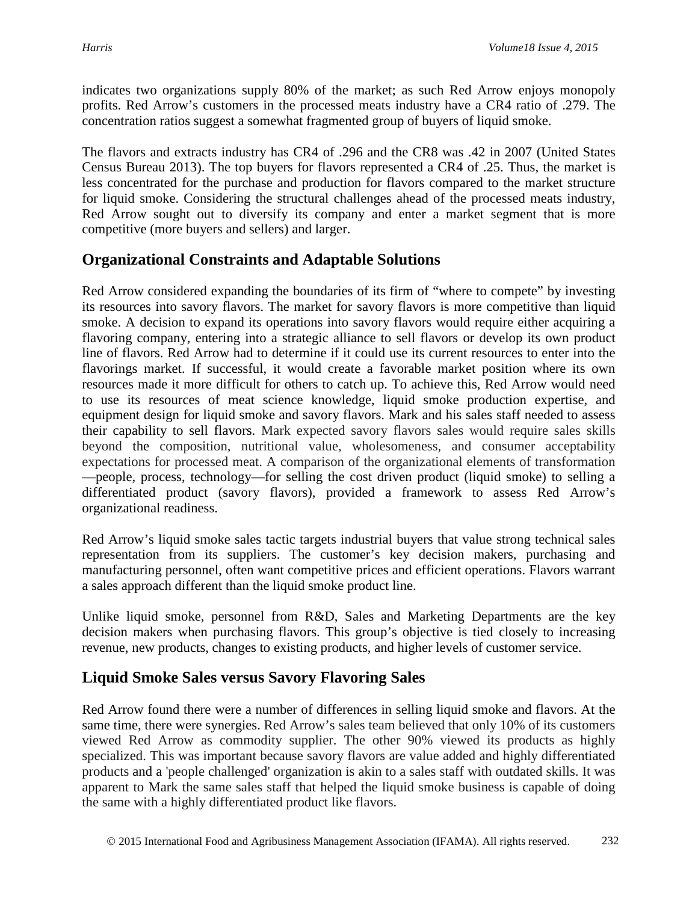indicates two organizations supply 80% of the market; as such Red Arrow enjoys monopoly profits. Red Arrow's customers in the processed meats industry have a CR4 ratio of .279. The concentration ratios suggest a somewhat fragmented group of buyers of liquid smoke.

The flavors and extracts industry has CR4 of .296 and the CR8 was .42 in 2007 (United States Census Bureau 2013). The top buyers for flavors represented a CR4 of .25. Thus, the market is less concentrated for the purchase and production for flavors compared to the market structure for liquid smoke. Considering the structural challenges ahead of the processed meats industry, Red Arrow sought out to diversify its company and enter a market segment that is more competitive (more buyers and sellers) and larger.

## **Organizational Constraints and Adaptable Solutions**

Red Arrow considered expanding the boundaries of its firm of "where to compete" by investing its resources into savory flavors. The market for savory flavors is more competitive than liquid smoke. A decision to expand its operations into savory flavors would require either acquiring a flavoring company, entering into a strategic alliance to sell flavors or develop its own product line of flavors. Red Arrow had to determine if it could use its current resources to enter into the flavorings market. If successful, it would create a favorable market position where its own resources made it more difficult for others to catch up. To achieve this, Red Arrow would need to use its resources of meat science knowledge, liquid smoke production expertise, and equipment design for liquid smoke and savory flavors. Mark and his sales staff needed to assess their capability to sell flavors. Mark expected savory flavors sales would require sales skills beyond the composition, nutritional value, wholesomeness, and consumer acceptability expectations for processed meat. A comparison of the organizational elements of transformation —people, process, technology—for selling the cost driven product (liquid smoke) to selling a differentiated product (savory flavors), provided a framework to assess Red Arrow's organizational readiness.

Red Arrow's liquid smoke sales tactic targets industrial buyers that value strong technical sales representation from its suppliers. The customer's key decision makers, purchasing and manufacturing personnel, often want competitive prices and efficient operations. Flavors warrant a sales approach different than the liquid smoke product line.

Unlike liquid smoke, personnel from R&D, Sales and Marketing Departments are the key decision makers when purchasing flavors. This group's objective is tied closely to increasing revenue, new products, changes to existing products, and higher levels of customer service.

### **Liquid Smoke Sales versus Savory Flavoring Sales**

Red Arrow found there were a number of differences in selling liquid smoke and flavors. At the same time, there were synergies. Red Arrow's sales team believed that only 10% of its customers viewed Red Arrow as commodity supplier. The other 90% viewed its products as highly specialized. This was important because savory flavors are value added and highly differentiated products and a 'people challenged' organization is akin to a sales staff with outdated skills. It was apparent to Mark the same sales staff that helped the liquid smoke business is capable of doing the same with a highly differentiated product like flavors.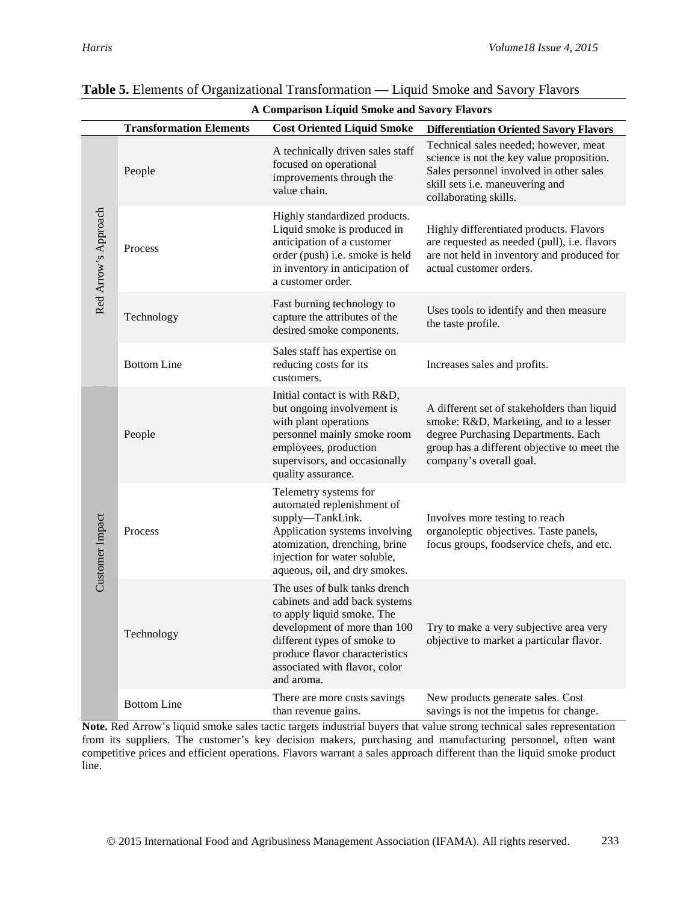|                      | A Comparison Liquid Smoke and Savory Flavors |                                                                                                                                                                                                                                              |                                                                                                                                                                                                        |  |  |  |
|----------------------|----------------------------------------------|----------------------------------------------------------------------------------------------------------------------------------------------------------------------------------------------------------------------------------------------|--------------------------------------------------------------------------------------------------------------------------------------------------------------------------------------------------------|--|--|--|
|                      | <b>Transformation Elements</b>               | <b>Differentiation Oriented Savory Flavors</b>                                                                                                                                                                                               |                                                                                                                                                                                                        |  |  |  |
| Red Arrow's Approach | People                                       | A technically driven sales staff<br>focused on operational<br>improvements through the<br>value chain.                                                                                                                                       | Technical sales needed; however, meat<br>science is not the key value proposition.<br>Sales personnel involved in other sales<br>skill sets i.e. maneuvering and<br>collaborating skills.              |  |  |  |
|                      | Process                                      | Highly standardized products.<br>Liquid smoke is produced in<br>anticipation of a customer<br>order (push) i.e. smoke is held<br>in inventory in anticipation of<br>a customer order.                                                        | Highly differentiated products. Flavors<br>are requested as needed (pull), i.e. flavors<br>are not held in inventory and produced for<br>actual customer orders.                                       |  |  |  |
|                      | Technology                                   | Fast burning technology to<br>capture the attributes of the<br>desired smoke components.                                                                                                                                                     | Uses tools to identify and then measure<br>the taste profile.                                                                                                                                          |  |  |  |
|                      | <b>Bottom Line</b>                           | Sales staff has expertise on<br>reducing costs for its<br>customers.                                                                                                                                                                         | Increases sales and profits.                                                                                                                                                                           |  |  |  |
| Customer Impact      | People                                       | Initial contact is with R&D,<br>but ongoing involvement is<br>with plant operations<br>personnel mainly smoke room<br>employees, production<br>supervisors, and occasionally<br>quality assurance.                                           | A different set of stakeholders than liquid<br>smoke: R&D, Marketing, and to a lesser<br>degree Purchasing Departments. Each<br>group has a different objective to meet the<br>company's overall goal. |  |  |  |
|                      | Process                                      | Telemetry systems for<br>automated replenishment of<br>supply-TankLink.<br>Application systems involving<br>atomization, drenching, brine<br>injection for water soluble,<br>aqueous, oil, and dry smokes.                                   | Involves more testing to reach<br>organoleptic objectives. Taste panels,<br>focus groups, foodservice chefs, and etc.                                                                                  |  |  |  |
|                      | Technology                                   | The uses of bulk tanks drench<br>cabinets and add back systems<br>to apply liquid smoke. The<br>development of more than 100<br>different types of smoke to<br>produce flavor characteristics<br>associated with flavor, color<br>and aroma. | Try to make a very subjective area very<br>objective to market a particular flavor.                                                                                                                    |  |  |  |
|                      | <b>Bottom Line</b>                           | There are more costs savings<br>than revenue gains.                                                                                                                                                                                          | New products generate sales. Cost<br>savings is not the impetus for change.                                                                                                                            |  |  |  |

# **Table 5.** Elements of Organizational Transformation — Liquid Smoke and Savory Flavors

**Note.** Red Arrow's liquid smoke sales tactic targets industrial buyers that value strong technical sales representation from its suppliers. The customer's key decision makers, purchasing and manufacturing personnel, often want competitive prices and efficient operations. Flavors warrant a sales approach different than the liquid smoke product line.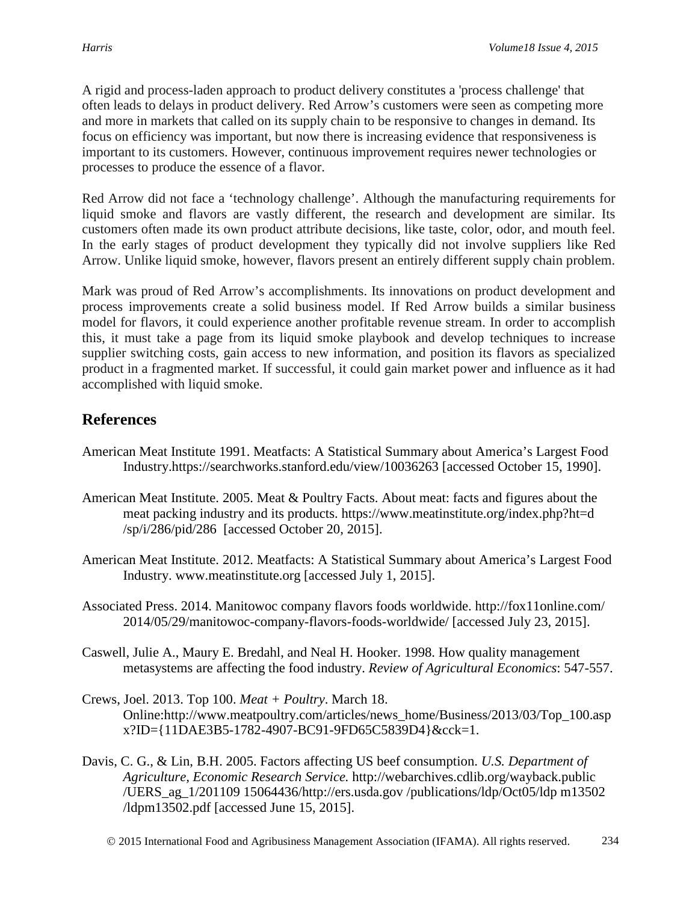A rigid and process-laden approach to product delivery constitutes a 'process challenge' that often leads to delays in product delivery. Red Arrow's customers were seen as competing more and more in markets that called on its supply chain to be responsive to changes in demand. Its focus on efficiency was important, but now there is increasing evidence that responsiveness is important to its customers. However, continuous improvement requires newer technologies or processes to produce the essence of a flavor.

Red Arrow did not face a 'technology challenge'. Although the manufacturing requirements for liquid smoke and flavors are vastly different, the research and development are similar. Its customers often made its own product attribute decisions, like taste, color, odor, and mouth feel. In the early stages of product development they typically did not involve suppliers like Red Arrow. Unlike liquid smoke, however, flavors present an entirely different supply chain problem.

Mark was proud of Red Arrow's accomplishments. Its innovations on product development and process improvements create a solid business model. If Red Arrow builds a similar business model for flavors, it could experience another profitable revenue stream. In order to accomplish this, it must take a page from its liquid smoke playbook and develop techniques to increase supplier switching costs, gain access to new information, and position its flavors as specialized product in a fragmented market. If successful, it could gain market power and influence as it had accomplished with liquid smoke.

## **References**

- American Meat Institute 1991. Meatfacts: A Statistical Summary about America's Largest Food Industry.https://searchworks.stanford.edu/view/10036263 [accessed October 15, 1990].
- American Meat Institute. 2005. Meat & Poultry Facts. About meat: facts and figures about the meat packing industry and its products. https://www.meatinstitute.org/index.php?ht=d /sp/i/286/pid/286 [accessed October 20, 2015].
- American Meat Institute. 2012. Meatfacts: A Statistical Summary about America's Largest Food Industry. www.meatinstitute.org [accessed July 1, 2015].
- Associated Press. 2014. Manitowoc company flavors foods worldwide. http://fox11online.com/ 2014/05/29/manitowoc-company-flavors-foods-worldwide/ [accessed July 23, 2015].
- Caswell, Julie A., Maury E. Bredahl, and Neal H. Hooker. 1998. How quality management metasystems are affecting the food industry. *Review of Agricultural Economics*: 547-557.
- Crews, Joel. 2013. Top 100. *Meat + Poultry*. March 18. Online:http://www.meatpoultry.com/articles/news\_home/Business/2013/03/Top\_100.asp x?ID={11DAE3B5-1782-4907-BC91-9FD65C5839D4}&cck=1.
- Davis, C. G., & Lin, B.H. 2005. Factors affecting US beef consumption. *U.S. Department of Agriculture, Economic Research Service.* http://webarchives.cdlib.org/wayback.public /UERS\_ag\_1/201109 15064436/http://ers.usda.gov /publications/ldp/Oct05/ldp m13502 /ldpm13502.pdf [accessed June 15, 2015].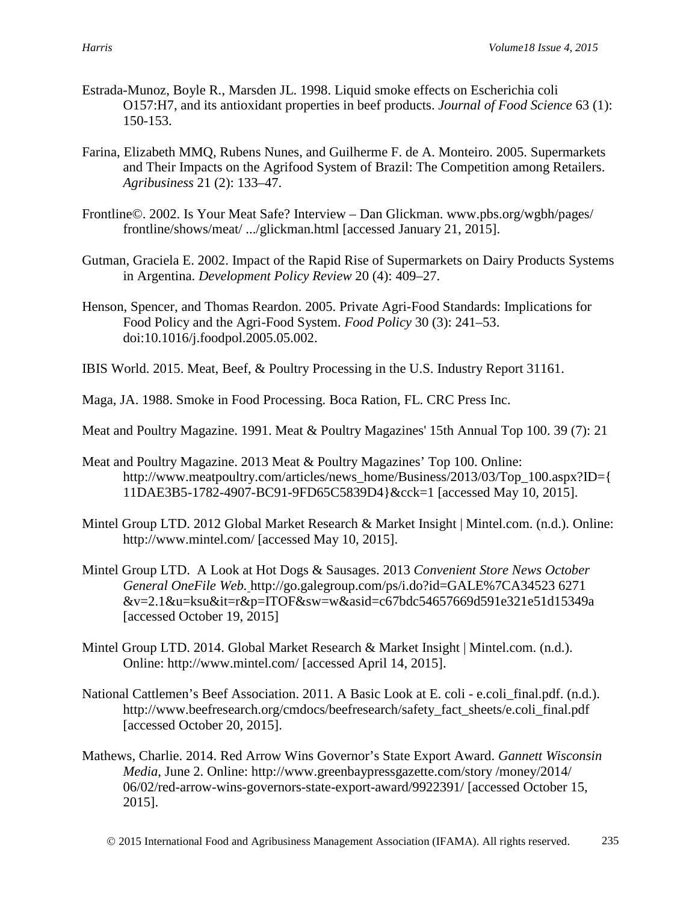- Estrada-Munoz, Boyle R., Marsden JL. 1998. Liquid smoke effects on Escherichia coli O157:H7, and its antioxidant properties in beef products. *Journal of Food Science* 63 (1): 150-153.
- Farina, Elizabeth MMQ, Rubens Nunes, and Guilherme F. de A. Monteiro. 2005. Supermarkets and Their Impacts on the Agrifood System of Brazil: The Competition among Retailers. *Agribusiness* 21 (2): 133–47.
- Frontline©. 2002. Is Your Meat Safe? Interview Dan Glickman. www.pbs.org/wgbh/pages/ frontline/shows/meat/ .../glickman.html [accessed January 21, 2015].
- Gutman, Graciela E. 2002. Impact of the Rapid Rise of Supermarkets on Dairy Products Systems in Argentina. *Development Policy Review* 20 (4): 409–27.
- Henson, Spencer, and Thomas Reardon. 2005. Private Agri-Food Standards: Implications for Food Policy and the Agri-Food System. *Food Policy* 30 (3): 241–53. doi:10.1016/j.foodpol.2005.05.002.
- IBIS World. 2015. Meat, Beef, & Poultry Processing in the U.S. Industry Report 31161.

Maga, JA. 1988. Smoke in Food Processing. Boca Ration, FL. CRC Press Inc.

Meat and Poultry Magazine. 1991. Meat & Poultry Magazines' 15th Annual Top 100. 39 (7): 21

- Meat and Poultry Magazine. 2013 Meat & Poultry Magazines' Top 100. Online: http://www.meatpoultry.com/articles/news\_home/Business/2013/03/Top\_100.aspx?ID={ 11DAE3B5-1782-4907-BC91-9FD65C5839D4}&cck=1 [accessed May 10, 2015].
- Mintel Group LTD. 2012 Global Market Research & Market Insight | Mintel.com. (n.d.). Online: http://www.mintel.com/ [accessed May 10, 2015].
- Mintel Group LTD. A Look at Hot Dogs & Sausages. 2013 *Convenient Store News October General OneFile Web.* http://go.galegroup.com/ps/i.do?id=GALE%7CA34523 6271 &v=2.1&u=ksu&it=r&p=ITOF&sw=w&asid=c67bdc54657669d591e321e51d15349a [accessed October 19, 2015]
- Mintel Group LTD. 2014. Global Market Research & Market Insight | Mintel.com. (n.d.). Online: http://www.mintel.com/ [accessed April 14, 2015].
- National Cattlemen's Beef Association. 2011. A Basic Look at E. coli e.coli\_final.pdf. (n.d.). http://www.beefresearch.org/cmdocs/beefresearch/safety\_fact\_sheets/e.coli\_final.pdf [accessed October 20, 2015].
- Mathews, Charlie. 2014. Red Arrow Wins Governor's State Export Award. *Gannett Wisconsin Media*, June 2. Online: http://www.greenbaypressgazette.com/story /money/2014/ 06/02/red-arrow-wins-governors-state-export-award/9922391/ [accessed October 15, 2015].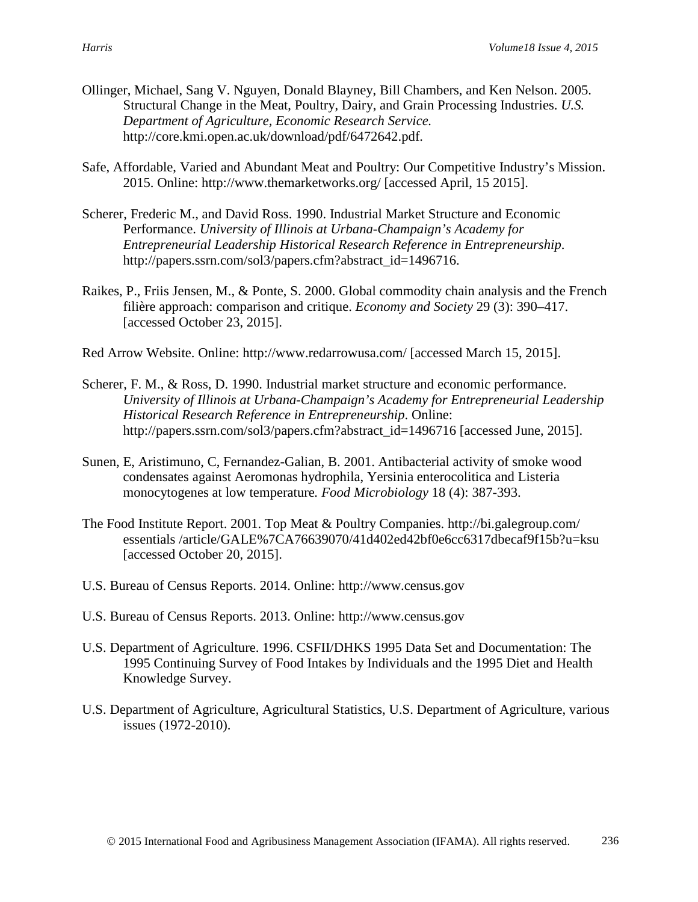- Ollinger, Michael, Sang V. Nguyen, Donald Blayney, Bill Chambers, and Ken Nelson. 2005. Structural Change in the Meat, Poultry, Dairy, and Grain Processing Industries. *U.S. Department of Agriculture, Economic Research Service.*  http://core.kmi.open.ac.uk/download/pdf/6472642.pdf.
- Safe, Affordable, Varied and Abundant Meat and Poultry: Our Competitive Industry's Mission. 2015. Online: http://www.themarketworks.org/ [accessed April, 15 2015].
- Scherer, Frederic M., and David Ross. 1990. Industrial Market Structure and Economic Performance. *University of Illinois at Urbana-Champaign's Academy for Entrepreneurial Leadership Historical Research Reference in Entrepreneurship*. http://papers.ssrn.com/sol3/papers.cfm?abstract\_id=1496716.
- Raikes, P., Friis Jensen, M., & Ponte, S. 2000. Global commodity chain analysis and the French filière approach: comparison and critique. *Economy and Society* 29 (3): 390–417. [accessed October 23, 2015].
- Red Arrow Website. Online: http://www.redarrowusa.com/ [accessed March 15, 2015].
- Scherer, F. M., & Ross, D. 1990. Industrial market structure and economic performance. *University of Illinois at Urbana-Champaign's Academy for Entrepreneurial Leadership Historical Research Reference in Entrepreneurship*. Online: http://papers.ssrn.com/sol3/papers.cfm?abstract\_id=1496716 [accessed June, 2015].
- Sunen, E, Aristimuno, C, Fernandez-Galian, B. 2001. Antibacterial activity of smoke wood condensates against Aeromonas hydrophila, Yersinia enterocolitica and Listeria monocytogenes at low temperature*. Food Microbiology* 18 (4): 387-393.
- The Food Institute Report. 2001. Top Meat & Poultry Companies. http://bi.galegroup.com/ essentials /article/GALE%7CA76639070/41d402ed42bf0e6cc6317dbecaf9f15b?u=ksu [accessed October 20, 2015].
- U.S. Bureau of Census Reports. 2014. Online: http://www.census.gov
- U.S. Bureau of Census Reports. 2013. Online: http://www.census.gov
- U.S. Department of Agriculture. 1996. CSFII/DHKS 1995 Data Set and Documentation: The 1995 Continuing Survey of Food Intakes by Individuals and the 1995 Diet and Health Knowledge Survey.
- U.S. Department of Agriculture, Agricultural Statistics, U.S. Department of Agriculture, various issues (1972-2010).